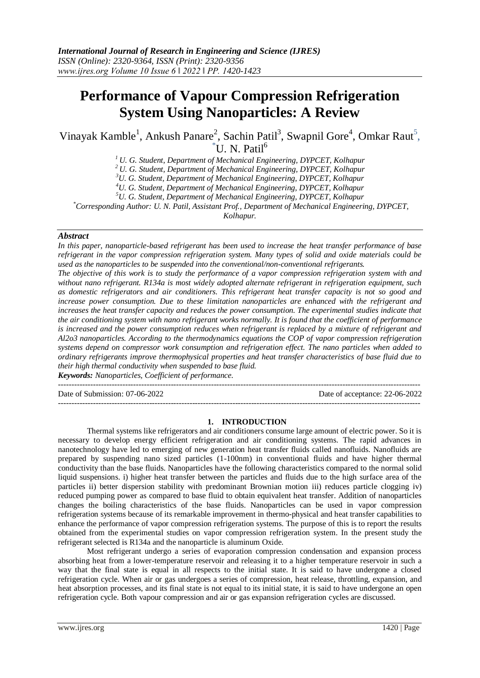# **Performance of Vapour Compression Refrigeration System Using Nanoparticles: A Review**

Vinayak Kamble<sup>1</sup>, Ankush Panare<sup>2</sup>, Sachin Patil<sup>3</sup>, Swapnil Gore<sup>4</sup>, Omkar Raut<sup>5</sup>,  $\mathrm{^{4}U.}$  N. Patil<sup>6</sup>

*<sup>1</sup> U. G. Student, Department of Mechanical Engineering, DYPCET, Kolhapur*

*<sup>2</sup> U. G. Student, Department of Mechanical Engineering, DYPCET, Kolhapur*

*<sup>3</sup>U. G. Student, Department of Mechanical Engineering, DYPCET, Kolhapur*

*<sup>4</sup>U. G. Student, Department of Mechanical Engineering, DYPCET, Kolhapur*

*<sup>5</sup>U. G. Student, Department of Mechanical Engineering, DYPCET, Kolhapur*

*\*Corresponding Author: U. N. Patil, Assistant Prof., Department of Mechanical Engineering, DYPCET, Kolhapur.*

# *Abstract*

*In this paper, nanoparticle-based refrigerant has been used to increase the heat transfer performance of base refrigerant in the vapor compression refrigeration system. Many types of solid and oxide materials could be used as the nanoparticles to be suspended into the conventional/non-conventional refrigerants.* 

*The objective of this work is to study the performance of a vapor compression refrigeration system with and without nano refrigerant. R134a is most widely adopted alternate refrigerant in refrigeration equipment, such as domestic refrigerators and air conditioners. This refrigerant heat transfer capacity is not so good and increase power consumption. Due to these limitation nanoparticles are enhanced with the refrigerant and*  increases the heat transfer capacity and reduces the power consumption. The experimental studies indicate that *the air conditioning system with nano refrigerant works normally. It is found that the coefficient of performance is increased and the power consumption reduces when refrigerant is replaced by a mixture of refrigerant and Al2o3 nanoparticles. According to the thermodynamics equations the COP of vapor compression refrigeration systems depend on compressor work consumption and refrigeration effect. The nano particles when added to ordinary refrigerants improve thermophysical properties and heat transfer characteristics of base fluid due to their high thermal conductivity when suspended to base fluid.*

*Keywords: Nanoparticles, Coefficient of performance.*

---------------------------------------------------------------------------------------------------------------------------------------

Date of Submission: 07-06-2022 Date of acceptance: 22-06-2022

# **1. INTRODUCTION**

---------------------------------------------------------------------------------------------------------------------------------------

Thermal systems like refrigerators and air conditioners consume large amount of electric power. So it is necessary to develop energy efficient refrigeration and air conditioning systems. The rapid advances in nanotechnology have led to emerging of new generation heat transfer fluids called nanofluids. Nanofluids are prepared by suspending nano sized particles (1-100nm) in conventional fluids and have higher thermal conductivity than the base fluids. Nanoparticles have the following characteristics compared to the normal solid liquid suspensions. i) higher heat transfer between the particles and fluids due to the high surface area of the particles ii) better dispersion stability with predominant Brownian motion iii) reduces particle clogging iv) reduced pumping power as compared to base fluid to obtain equivalent heat transfer. Addition of nanoparticles changes the boiling characteristics of the base fluids. Nanoparticles can be used in vapor compression refrigeration systems because of its remarkable improvement in thermo-physical and heat transfer capabilities to enhance the performance of vapor compression refrigeration systems. The purpose of this is to report the results obtained from the experimental studies on vapor compression refrigeration system. In the present study the refrigerant selected is R134a and the nanoparticle is aluminum Oxide.

Most refrigerant undergo a series of evaporation compression condensation and expansion process absorbing heat from a lower-temperature reservoir and releasing it to a higher temperature reservoir in such a way that the final state is equal in all respects to the initial state. It is said to have undergone a closed refrigeration cycle. When air or gas undergoes a series of compression, heat release, throttling, expansion, and heat absorption processes, and its final state is not equal to its initial state, it is said to have undergone an open refrigeration cycle. Both vapour compression and air or gas expansion refrigeration cycles are discussed.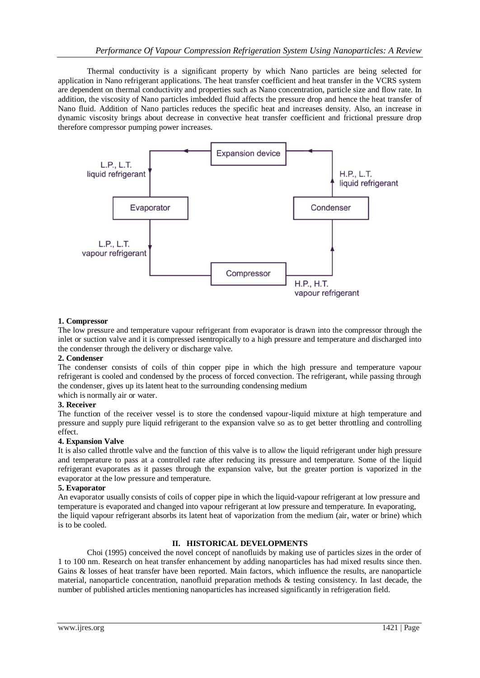Thermal conductivity is a significant property by which Nano particles are being selected for application in Nano refrigerant applications. The heat transfer coefficient and heat transfer in the VCRS system are dependent on thermal conductivity and properties such as Nano concentration, particle size and flow rate. In addition, the viscosity of Nano particles imbedded fluid affects the pressure drop and hence the heat transfer of Nano fluid. Addition of Nano particles reduces the specific heat and increases density. Also, an increase in dynamic viscosity brings about decrease in convective heat transfer coefficient and frictional pressure drop therefore compressor pumping power increases.



# **1. Compressor**

The low pressure and temperature vapour refrigerant from evaporator is drawn into the compressor through the inlet or suction valve and it is compressed isentropically to a high pressure and temperature and discharged into the condenser through the delivery or discharge valve.

### **2. Condenser**

The condenser consists of coils of thin copper pipe in which the high pressure and temperature vapour refrigerant is cooled and condensed by the process of forced convection. The refrigerant, while passing through the condenser, gives up its latent heat to the surrounding condensing medium

which is normally air or water.

# **3. Receiver**

The function of the receiver vessel is to store the condensed vapour-liquid mixture at high temperature and pressure and supply pure liquid refrigerant to the expansion valve so as to get better throttling and controlling effect.

#### **4. Expansion Valve**

It is also called throttle valve and the function of this valve is to allow the liquid refrigerant under high pressure and temperature to pass at a controlled rate after reducing its pressure and temperature. Some of the liquid refrigerant evaporates as it passes through the expansion valve, but the greater portion is vaporized in the evaporator at the low pressure and temperature.

#### **5. Evaporator**

An evaporator usually consists of coils of copper pipe in which the liquid-vapour refrigerant at low pressure and temperature is evaporated and changed into vapour refrigerant at low pressure and temperature. In evaporating, the liquid vapour refrigerant absorbs its latent heat of vaporization from the medium (air, water or brine) which is to be cooled.

### **II. HISTORICAL DEVELOPMENTS**

Choi (1995) conceived the novel concept of nanofluids by making use of particles sizes in the order of 1 to 100 nm. Research on heat transfer enhancement by adding nanoparticles has had mixed results since then. Gains & losses of heat transfer have been reported. Main factors, which influence the results, are nanoparticle material, nanoparticle concentration, nanofluid preparation methods & testing consistency. In last decade, the number of published articles mentioning nanoparticles has increased significantly in refrigeration field.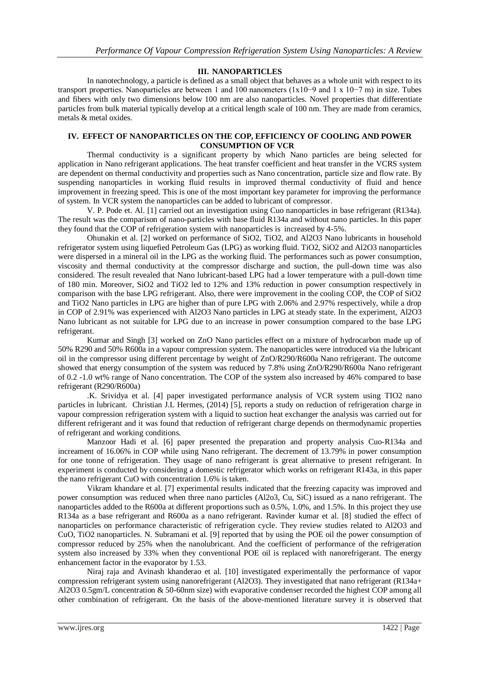# **III. NANOPARTICLES**

In nanotechnology, a particle is defined as a small object that behaves as a whole unit with respect to its transport properties. Nanoparticles are between 1 and 100 nanometers (1x10−9 and 1 x 10−7 m) in size. Tubes and fibers with only two dimensions below 100 nm are also nanoparticles. Novel properties that differentiate particles from bulk material typically develop at a critical length scale of 100 nm. They are made from ceramics, metals & metal oxides.

#### **IV. EFFECT OF NANOPARTICLES ON THE COP, EFFICIENCY OF COOLING AND POWER CONSUMPTION OF VCR**

Thermal conductivity is a significant property by which Nano particles are being selected for application in Nano refrigerant applications. The heat transfer coefficient and heat transfer in the VCRS system are dependent on thermal conductivity and properties such as Nano concentration, particle size and flow rate. By suspending nanoparticles in working fluid results in improved thermal conductivity of fluid and hence improvement in freezing speed. This is one of the most important key parameter for improving the performance of system. In VCR system the nanoparticles can be added to lubricant of compressor.

V. P. Pode et. Al. [1] carried out an investigation using Cuo nanoparticles in base refrigerant (R134a). The result was the comparison of nano-particles with base fluid R134a and without nano particles. In this paper they found that the COP of refrigeration system with nanoparticles is increased by 4-5%.

Ohunakin et al. [2] worked on performance of SiO2, TiO2, and Al2O3 Nano lubricants in household refrigerator system using liquefied Petroleum Gas (LPG) as working fluid. TiO2, SiO2 and Al2O3 nanoparticles were dispersed in a mineral oil in the LPG as the working fluid. The performances such as power consumption, viscosity and thermal conductivity at the compressor discharge and suction, the pull-down time was also considered. The result revealed that Nano lubricant-based LPG had a lower temperature with a pull-down time of 180 min. Moreover, SiO2 and TiO2 led to 12% and 13% reduction in power consumption respectively in comparison with the base LPG refrigerant. Also, there were improvement in the cooling COP, the COP of SiO2 and TiO2 Nano particles in LPG are higher than of pure LPG with 2.06% and 2.97% respectively, while a drop in COP of 2.91% was experienced with Al2O3 Nano particles in LPG at steady state. In the experiment, Al2O3 Nano lubricant as not suitable for LPG due to an increase in power consumption compared to the base LPG refrigerant.

Kumar and Singh [3] worked on ZnO Nano particles effect on a mixture of hydrocarbon made up of 50% R290 and 50% R600a in a vapour compression system. The nanoparticles were introduced via the lubricant oil in the compressor using different percentage by weight of ZnO/R290/R600a Nano refrigerant. The outcome showed that energy consumption of the system was reduced by 7.8% using ZnO/R290/R600a Nano refrigerant of 0.2 -1.0 wt% range of Nano concentration. The COP of the system also increased by 46% compared to base refrigerant (R290/R600a)

.K. Srividya et al. [4] paper investigated performance analysis of VCR system using TIO2 nano particles in lubricant. Christian J.L Hermes, (2014) [5], reports a study on reduction of refrigeration charge in vapour compression refrigeration system with a liquid to suction heat exchanger the analysis was carried out for different refrigerant and it was found that reduction of refrigerant charge depends on thermodynamic properties of refrigerant and working conditions.

Manzoor Hadi et al. [6] paper presented the preparation and property analysis Cuo-R134a and increament of 16.06% in COP while using Nano refrigerant. The decrement of 13.79% in power consumption for one tonne of refrigeration. They usage of nano refrigerant is great alternative to present refrigerant. In experiment is conducted by considering a domestic refrigerator which works on refrigerant R143a, in this paper the nano refrigerant CuO with concentration 1.6% is taken.

Vikram khandare et al. [7] experimental results indicated that the freezing capacity was improved and power consumption was reduced when three nano particles (Al2o3, Cu, SiC) issued as a nano refrigerant. The nanoparticles added to the R600a at different proportions such as 0.5%, 1.0%, and 1.5%. In this project they use R134a as a base refrigerant and R600a as a nano refrigerant. Ravinder kumar et al. [8] studied the effect of nanoparticles on performance characteristic of refrigeration cycle. They review studies related to Al2O3 and CuO, TiO2 nanoparticles. N. Subramani et al. [9] reported that by using the POE oil the power consumption of compressor reduced by 25% when the nanolubricant. And the coefficient of performance of the refrigeration system also increased by 33% when they conventional POE oil is replaced with nanorefrigerant. The energy enhancement factor in the evaporator by 1.53.

Niraj raja and Avinash khanderao et al. [10] investigated experimentally the performance of vapor compression refrigerant system using nanorefrigerant (Al2O3). They investigated that nano refrigerant (R134a+ Al2O3 0.5gm/L concentration & 50-60nm size) with evaporative condenser recorded the highest COP among all other combination of refrigerant. On the basis of the above-mentioned literature survey it is observed that